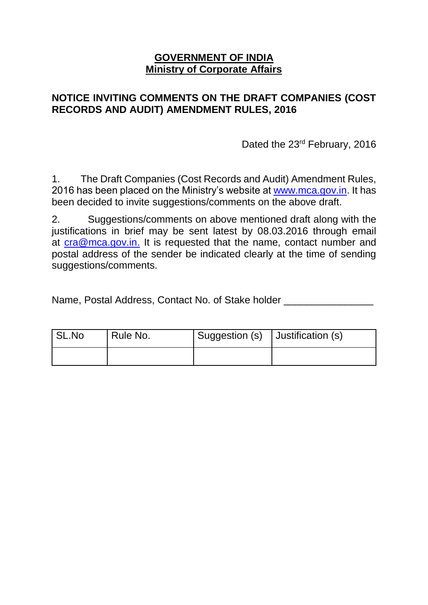## **GOVERNMENT OF INDIA Ministry of Corporate Affairs**

# **NOTICE INVITING COMMENTS ON THE DRAFT COMPANIES (COST RECORDS AND AUDIT) AMENDMENT RULES, 2016**

Dated the 23<sup>rd</sup> February, 2016

1. The Draft Companies (Cost Records and Audit) Amendment Rules, 2016 has been placed on the Ministry's website at [www.mca.gov.in.](http://www.mca.gov.in/) It has been decided to invite suggestions/comments on the above draft.

2. Suggestions/comments on above mentioned draft along with the justifications in brief may be sent latest by 08.03.2016 through email at [cra@mca.gov.in.](mailto:cra@mca.gov.in) It is requested that the name, contact number and postal address of the sender be indicated clearly at the time of sending suggestions/comments.

Name, Postal Address, Contact No. of Stake holder \_\_\_\_\_\_\_\_\_\_\_\_\_\_\_\_\_\_\_\_\_\_\_\_\_\_\_\_\_\_

| SL.No | Rule No. | Suggestion (s)   Justification (s) |  |
|-------|----------|------------------------------------|--|
|       |          |                                    |  |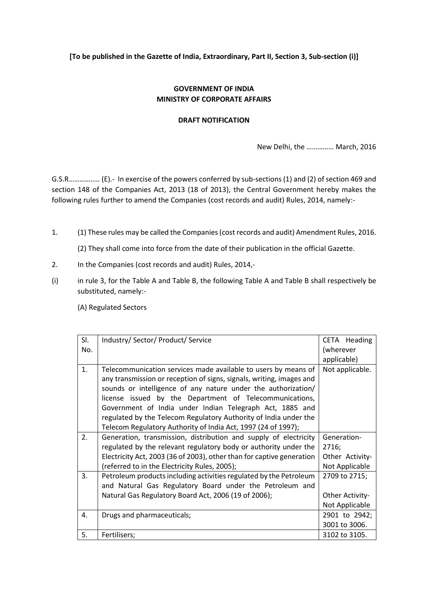**[To be published in the Gazette of India, Extraordinary, Part II, Section 3, Sub-section (i)]**

### **GOVERNMENT OF INDIA MINISTRY OF CORPORATE AFFAIRS**

#### **DRAFT NOTIFICATION**

New Delhi, the …………… March, 2016

G.S.R…………….. (E).- In exercise of the powers conferred by sub-sections (1) and (2) of section 469 and section 148 of the Companies Act, 2013 (18 of 2013), the Central Government hereby makes the following rules further to amend the Companies (cost records and audit) Rules, 2014, namely:-

1. (1) These rules may be called the Companies (cost records and audit) Amendment Rules, 2016.

(2) They shall come into force from the date of their publication in the official Gazette.

- 2. In the Companies (cost records and audit) Rules, 2014,-
- (i) in rule 3, for the Table A and Table B, the following Table A and Table B shall respectively be substituted, namely:-

(A) Regulated Sectors

| SI. | Industry/ Sector/ Product/ Service                                                                                                                                                                                                                                                                                                                                                                                                                                  | CETA Heading         |
|-----|---------------------------------------------------------------------------------------------------------------------------------------------------------------------------------------------------------------------------------------------------------------------------------------------------------------------------------------------------------------------------------------------------------------------------------------------------------------------|----------------------|
| No. |                                                                                                                                                                                                                                                                                                                                                                                                                                                                     | (wherever            |
|     |                                                                                                                                                                                                                                                                                                                                                                                                                                                                     | applicable)          |
| 1.  | Telecommunication services made available to users by means of<br>any transmission or reception of signs, signals, writing, images and<br>sounds or intelligence of any nature under the authorization/<br>license issued by the Department of Telecommunications,<br>Government of India under Indian Telegraph Act, 1885 and<br>regulated by the Telecom Regulatory Authority of India under the<br>Telecom Regulatory Authority of India Act, 1997 (24 of 1997); | Not applicable.      |
| 2.  | Generation, transmission, distribution and supply of electricity<br>regulated by the relevant regulatory body or authority under the                                                                                                                                                                                                                                                                                                                                | Generation-<br>2716; |
|     | Electricity Act, 2003 (36 of 2003), other than for captive generation                                                                                                                                                                                                                                                                                                                                                                                               | Other Activity-      |
|     | (referred to in the Electricity Rules, 2005);                                                                                                                                                                                                                                                                                                                                                                                                                       | Not Applicable       |
| 3.  | Petroleum products including activities regulated by the Petroleum                                                                                                                                                                                                                                                                                                                                                                                                  | 2709 to 2715;        |
|     | and Natural Gas Regulatory Board under the Petroleum and                                                                                                                                                                                                                                                                                                                                                                                                            |                      |
|     | Natural Gas Regulatory Board Act, 2006 (19 of 2006);                                                                                                                                                                                                                                                                                                                                                                                                                | Other Activity-      |
|     |                                                                                                                                                                                                                                                                                                                                                                                                                                                                     | Not Applicable       |
| 4.  | Drugs and pharmaceuticals;                                                                                                                                                                                                                                                                                                                                                                                                                                          | 2901 to 2942;        |
|     |                                                                                                                                                                                                                                                                                                                                                                                                                                                                     | 3001 to 3006.        |
| 5.  | Fertilisers;                                                                                                                                                                                                                                                                                                                                                                                                                                                        | 3102 to 3105.        |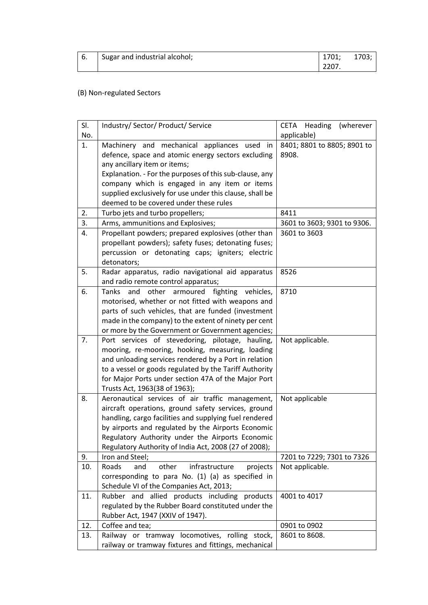| <sup>1</sup> 6. | Sugar and industrial alcohol; | 1701: | 1703; |
|-----------------|-------------------------------|-------|-------|
|                 |                               | 2207. |       |

## (B) Non-regulated Sectors

| SI. | Industry/ Sector/ Product/ Service                                                                        | CETA Heading<br>(wherever   |
|-----|-----------------------------------------------------------------------------------------------------------|-----------------------------|
| No. |                                                                                                           | applicable)                 |
| 1.  | Machinery and mechanical appliances used<br>in                                                            | 8401; 8801 to 8805; 8901 to |
|     | defence, space and atomic energy sectors excluding                                                        | 8908.                       |
|     | any ancillary item or items;                                                                              |                             |
|     | Explanation. - For the purposes of this sub-clause, any                                                   |                             |
|     | company which is engaged in any item or items                                                             |                             |
|     | supplied exclusively for use under this clause, shall be                                                  |                             |
|     | deemed to be covered under these rules                                                                    |                             |
| 2.  | Turbo jets and turbo propellers;                                                                          | 8411                        |
| 3.  | Arms, ammunitions and Explosives;                                                                         | 3601 to 3603; 9301 to 9306. |
| 4.  | Propellant powders; prepared explosives (other than                                                       | 3601 to 3603                |
|     | propellant powders); safety fuses; detonating fuses;                                                      |                             |
|     | percussion or detonating caps; igniters; electric                                                         |                             |
|     | detonators;                                                                                               |                             |
| 5.  | Radar apparatus, radio navigational aid apparatus                                                         | 8526                        |
|     | and radio remote control apparatus;                                                                       |                             |
| 6.  | and<br>other<br>armoured<br>fighting vehicles,<br>Tanks                                                   | 8710                        |
|     | motorised, whether or not fitted with weapons and                                                         |                             |
|     | parts of such vehicles, that are funded (investment                                                       |                             |
|     | made in the company) to the extent of ninety per cent                                                     |                             |
|     | or more by the Government or Government agencies;                                                         |                             |
| 7.  | Port services of stevedoring, pilotage, hauling,                                                          | Not applicable.             |
|     | mooring, re-mooring, hooking, measuring, loading<br>and unloading services rendered by a Port in relation |                             |
|     | to a vessel or goods regulated by the Tariff Authority                                                    |                             |
|     | for Major Ports under section 47A of the Major Port                                                       |                             |
|     | Trusts Act, 1963(38 of 1963);                                                                             |                             |
| 8.  | Aeronautical services of air traffic management,                                                          | Not applicable              |
|     | aircraft operations, ground safety services, ground                                                       |                             |
|     | handling, cargo facilities and supplying fuel rendered                                                    |                             |
|     | by airports and regulated by the Airports Economic                                                        |                             |
|     | Regulatory Authority under the Airports Economic                                                          |                             |
|     | Regulatory Authority of India Act, 2008 (27 of 2008);                                                     |                             |
| 9.  | Iron and Steel;                                                                                           | 7201 to 7229; 7301 to 7326  |
| 10. | Roads<br>and<br>other<br>infrastructure<br>projects                                                       | Not applicable.             |
|     | corresponding to para No. (1) (a) as specified in                                                         |                             |
|     | Schedule VI of the Companies Act, 2013;                                                                   |                             |
| 11. | Rubber and<br>allied products including products                                                          | 4001 to 4017                |
|     | regulated by the Rubber Board constituted under the                                                       |                             |
|     | Rubber Act, 1947 (XXIV of 1947).                                                                          |                             |
| 12. | Coffee and tea;                                                                                           | 0901 to 0902                |
| 13. | Railway or tramway locomotives, rolling stock,                                                            | 8601 to 8608.               |
|     | railway or tramway fixtures and fittings, mechanical                                                      |                             |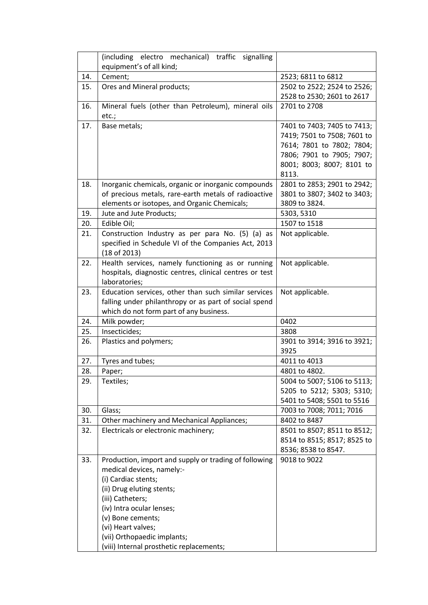|     | (including electro mechanical) traffic<br>signalling                     |                             |
|-----|--------------------------------------------------------------------------|-----------------------------|
|     | equipment's of all kind;                                                 |                             |
| 14. | Cement;                                                                  | 2523; 6811 to 6812          |
| 15. | Ores and Mineral products;                                               | 2502 to 2522; 2524 to 2526; |
|     |                                                                          | 2528 to 2530; 2601 to 2617  |
| 16. | Mineral fuels (other than Petroleum), mineral oils<br>etc.;              | 2701 to 2708                |
| 17. | Base metals;                                                             | 7401 to 7403; 7405 to 7413; |
|     |                                                                          | 7419; 7501 to 7508; 7601 to |
|     |                                                                          | 7614; 7801 to 7802; 7804;   |
|     |                                                                          | 7806; 7901 to 7905; 7907;   |
|     |                                                                          | 8001; 8003; 8007; 8101 to   |
|     |                                                                          | 8113.                       |
| 18. | Inorganic chemicals, organic or inorganic compounds                      | 2801 to 2853; 2901 to 2942; |
|     | of precious metals, rare-earth metals of radioactive                     | 3801 to 3807; 3402 to 3403; |
|     | elements or isotopes, and Organic Chemicals;                             | 3809 to 3824.               |
| 19. | Jute and Jute Products;                                                  | 5303, 5310                  |
| 20. | Edible Oil;                                                              | 1507 to 1518                |
| 21. | Construction Industry as per para No. (5) (a) as                         | Not applicable.             |
|     | specified in Schedule VI of the Companies Act, 2013                      |                             |
|     | (18 of 2013)                                                             |                             |
| 22. | Health services, namely functioning as or running                        | Not applicable.             |
|     | hospitals, diagnostic centres, clinical centres or test<br>laboratories; |                             |
| 23. | Education services, other than such similar services                     | Not applicable.             |
|     | falling under philanthropy or as part of social spend                    |                             |
|     | which do not form part of any business.                                  |                             |
| 24. | Milk powder;                                                             | 0402                        |
| 25. | Insecticides;                                                            | 3808                        |
| 26. | Plastics and polymers;                                                   | 3901 to 3914; 3916 to 3921; |
|     |                                                                          | 3925                        |
| 27. | Tyres and tubes;                                                         | 4011 to 4013                |
| 28. | Paper;                                                                   | 4801 to 4802.               |
| 29. | Textiles;                                                                | 5004 to 5007; 5106 to 5113; |
|     |                                                                          | 5205 to 5212; 5303; 5310;   |
|     |                                                                          | 5401 to 5408; 5501 to 5516  |
| 30. | Glass;                                                                   | 7003 to 7008; 7011; 7016    |
| 31. | Other machinery and Mechanical Appliances;                               | 8402 to 8487                |
| 32. | Electricals or electronic machinery;                                     | 8501 to 8507; 8511 to 8512; |
|     |                                                                          | 8514 to 8515; 8517; 8525 to |
|     |                                                                          | 8536; 8538 to 8547.         |
| 33. | Production, import and supply or trading of following                    | 9018 to 9022                |
|     | medical devices, namely:-                                                |                             |
|     | (i) Cardiac stents;                                                      |                             |
|     | (ii) Drug eluting stents;                                                |                             |
|     | (iii) Catheters;                                                         |                             |
|     | (iv) Intra ocular lenses;                                                |                             |
|     | (v) Bone cements;                                                        |                             |
|     | (vi) Heart valves;                                                       |                             |
|     | (vii) Orthopaedic implants;                                              |                             |
|     | (viii) Internal prosthetic replacements;                                 |                             |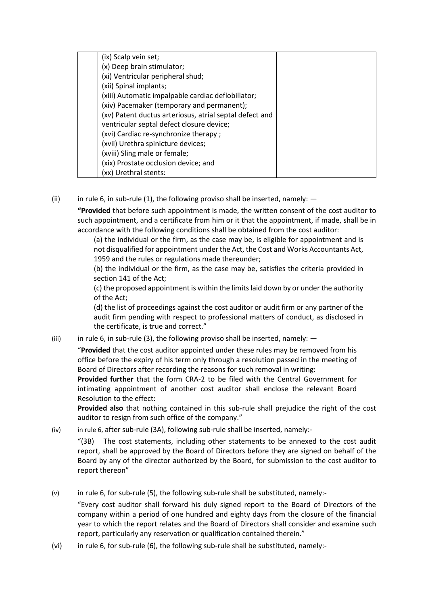| (ix) Scalp vein set;                                    |  |
|---------------------------------------------------------|--|
| (x) Deep brain stimulator;                              |  |
| (xi) Ventricular peripheral shud;                       |  |
| (xii) Spinal implants;                                  |  |
| (xiii) Automatic impalpable cardiac deflobillator;      |  |
| (xiv) Pacemaker (temporary and permanent);              |  |
| (xv) Patent ductus arteriosus, atrial septal defect and |  |
| ventricular septal defect closure device;               |  |
| (xvi) Cardiac re-synchronize therapy;                   |  |
| (xvii) Urethra spinicture devices;                      |  |
| (xviii) Sling male or female;                           |  |
| (xix) Prostate occlusion device; and                    |  |
| (xx) Urethral stents:                                   |  |

(ii) in rule 6, in sub-rule (1), the following proviso shall be inserted, namely:  $-$ 

**"Provided** that before such appointment is made, the written consent of the cost auditor to such appointment, and a certificate from him or it that the appointment, if made, shall be in accordance with the following conditions shall be obtained from the cost auditor:

(a) the individual or the firm, as the case may be, is eligible for appointment and is not disqualified for appointment under the Act, the Cost and Works Accountants Act, 1959 and the rules or regulations made thereunder;

(b) the individual or the firm, as the case may be, satisfies the criteria provided in section 141 of the Act;

(c) the proposed appointment is within the limits laid down by or under the authority of the Act;

(d) the list of proceedings against the cost auditor or audit firm or any partner of the audit firm pending with respect to professional matters of conduct, as disclosed in the certificate, is true and correct."

(iii) in rule 6, in sub-rule (3), the following proviso shall be inserted, namely:  $-$ 

"**Provided** that the cost auditor appointed under these rules may be removed from his office before the expiry of his term only through a resolution passed in the meeting of Board of Directors after recording the reasons for such removal in writing:

**Provided further** that the form CRA-2 to be filed with the Central Government for intimating appointment of another cost auditor shall enclose the relevant Board Resolution to the effect:

**Provided also** that nothing contained in this sub-rule shall prejudice the right of the cost auditor to resign from such office of the company."

(iv) in rule 6, after sub-rule (3A), following sub-rule shall be inserted, namely:-

"(3B) The cost statements, including other statements to be annexed to the cost audit report, shall be approved by the Board of Directors before they are signed on behalf of the Board by any of the director authorized by the Board, for submission to the cost auditor to report thereon"

(v) in rule 6, for sub-rule (5), the following sub-rule shall be substituted, namely:-

"Every cost auditor shall forward his duly signed report to the Board of Directors of the company within a period of one hundred and eighty days from the closure of the financial year to which the report relates and the Board of Directors shall consider and examine such report, particularly any reservation or qualification contained therein."

(vi) in rule 6, for sub-rule (6), the following sub-rule shall be substituted, namely:-